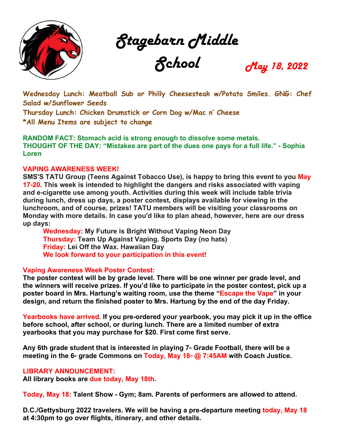

Stagebarn Middle

School May 18, 2022

**Wednesday Lunch: Meatball Sub or Philly Cheesesteak w/Potato Smiles. GNG: Chef Salad w/Sunflower Seeds**

**Thursday Lunch: Chicken Drumstick or Corn Dog w/Mac n' Cheese \*All Menu Items are subject to change**

**RANDOM FACT: Stomach acid is strong enough to dissolve some metals. THOUGHT OF THE DAY: "Mistakes are part of the dues one pays for a full life." - Sophia Loren**

## **VAPING AWARENESS WEEK!**

**SMS'S TATU Group (Teens Against Tobacco Use), is happy to bring this event to you May 17-20. This week is intended to highlight the dangers and risks associated with vaping and e-cigarette use among youth. Activities during this week will include table trivia during lunch, dress up days, a poster contest, displays available for viewing in the lunchroom, and of course, prizes! TATU members will be visiting your classrooms on Monday with more details. In case you'd like to plan ahead, however, here are our dress up days:**

**Wednesday: My Future is Bright Without Vaping Neon Day Thursday: Team Up Against Vaping. Sports Day (no hats) Friday: Lei Off the Wax. Hawaiian Day We look forward to your participation in this event!**

## **Vaping Awareness Week Poster Contest:**

**The poster contest will be by grade level. There will be one winner per grade level, and the winners will receive prizes. If you'd like to participate in the poster contest, pick up a poster board in Mrs. Hartung's waiting room, use the theme "Escape the Vape" in your design, and return the finished poster to Mrs. Hartung by the end of the day Friday.**

**Yearbooks have arrived. If you pre-ordered your yearbook, you may pick it up in the office before school, after school, or during lunch. There are a limited number of extra yearbooks that you may purchase for \$20. First come first serve.**

Any 6th grade student that is interested in playing 7<sup>th</sup> Grade Football, there will be a **meeting in the 6<sup>th</sup> grade Commons on Today, May 18<sup>th</sup> <b>@ 7:45AM** with Coach Justice.

## **LIBRARY ANNOUNCEMENT:**

**All library books are due today, May 18th.** 

**Today, May 18: Talent Show - Gym; 8am. Parents of performers are allowed to attend.**

**D.C./Gettysburg 2022 travelers. We will be having a pre-departure meeting today, May 18 at 4:30pm to go over flights, itinerary, and other details.**